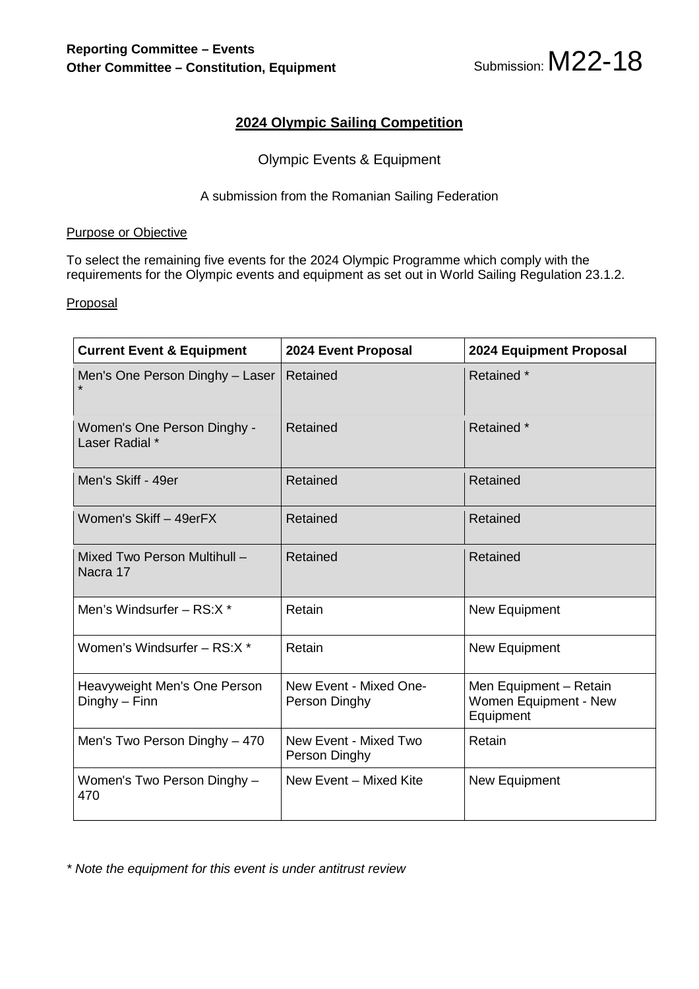

## **2024 Olympic Sailing Competition**

### Olympic Events & Equipment

#### A submission from the Romanian Sailing Federation

#### Purpose or Objective

To select the remaining five events for the 2024 Olympic Programme which comply with the requirements for the Olympic events and equipment as set out in World Sailing Regulation 23.1.2.

#### **Proposal**

| <b>Current Event &amp; Equipment</b>          | 2024 Event Proposal                     | 2024 Equipment Proposal                                      |  |
|-----------------------------------------------|-----------------------------------------|--------------------------------------------------------------|--|
| Men's One Person Dinghy - Laser               | Retained                                | Retained *                                                   |  |
| Women's One Person Dinghy -<br>Laser Radial * | Retained                                | Retained *                                                   |  |
| Men's Skiff - 49er                            | Retained                                | Retained                                                     |  |
| Women's Skiff - 49erFX                        | Retained                                | Retained                                                     |  |
| Mixed Two Person Multihull -<br>Nacra 17      | Retained                                | Retained                                                     |  |
| Men's Windsurfer - RS:X *                     | Retain                                  | New Equipment                                                |  |
| Women's Windsurfer - RS:X *                   | Retain                                  | New Equipment                                                |  |
| Heavyweight Men's One Person<br>$Dinghy-Finn$ | New Event - Mixed One-<br>Person Dinghy | Men Equipment - Retain<br>Women Equipment - New<br>Equipment |  |
| Men's Two Person Dinghy - 470                 | New Event - Mixed Two<br>Person Dinghy  | Retain                                                       |  |
| Women's Two Person Dinghy -<br>470            | New Event - Mixed Kite                  | New Equipment                                                |  |

*\* Note the equipment for this event is under antitrust review*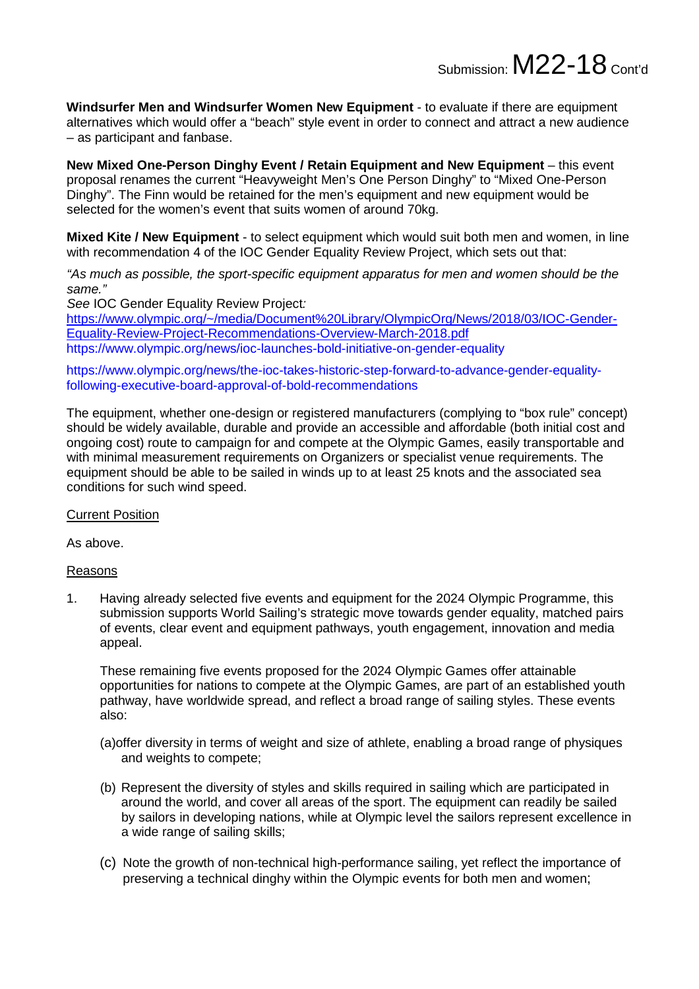Submission:  $M22-18$  Cont'd

**Windsurfer Men and Windsurfer Women New Equipment** - to evaluate if there are equipment alternatives which would offer a "beach" style event in order to connect and attract a new audience – as participant and fanbase.

**New Mixed One-Person Dinghy Event / Retain Equipment and New Equipment** – this event proposal renames the current "Heavyweight Men's One Person Dinghy" to "Mixed One-Person Dinghy". The Finn would be retained for the men's equipment and new equipment would be selected for the women's event that suits women of around 70kg.

**Mixed Kite / New Equipment** - to select equipment which would suit both men and women, in line with recommendation 4 of the IOC Gender Equality Review Project, which sets out that:

*"As much as possible, the sport-specific equipment apparatus for men and women should be the same."*

*See* IOC Gender Equality Review Project*:*

[https://www.olympic.org/~/media/Document%20Library/OlympicOrg/News/2018/03/IOC-Gender-](https://www.olympic.org/%7E/media/Document%2520Library/OlympicOrg/News/2018/03/IOC-Gender-Equality-Review-Project-Recommendations-Overview-March-2018.pdf)[Equality-Review-Project-Recommendations-Overview-March-2018.pdf](https://www.olympic.org/%7E/media/Document%2520Library/OlympicOrg/News/2018/03/IOC-Gender-Equality-Review-Project-Recommendations-Overview-March-2018.pdf) <https://www.olympic.org/news/ioc-launches-bold-initiative-on-gender-equality>

[https://www.olympic.org/news/the-ioc-takes-historic-step-forward-to-advance-gender-equality](https://www.olympic.org/news/the-ioc-takes-historic-step-forward-to-advance-gender-equality-following-executive-board-approval-of-bold-recommendations)[following-executive-board-approval-of-bold-recommendations](https://www.olympic.org/news/the-ioc-takes-historic-step-forward-to-advance-gender-equality-following-executive-board-approval-of-bold-recommendations)

The equipment, whether one-design or registered manufacturers (complying to "box rule" concept) should be widely available, durable and provide an accessible and affordable (both initial cost and ongoing cost) route to campaign for and compete at the Olympic Games, easily transportable and with minimal measurement requirements on Organizers or specialist venue requirements. The equipment should be able to be sailed in winds up to at least 25 knots and the associated sea conditions for such wind speed.

Current Position

As above.

#### Reasons

1. Having already selected five events and equipment for the 2024 Olympic Programme, this submission supports World Sailing's strategic move towards gender equality, matched pairs of events, clear event and equipment pathways, youth engagement, innovation and media appeal.

These remaining five events proposed for the 2024 Olympic Games offer attainable opportunities for nations to compete at the Olympic Games, are part of an established youth pathway, have worldwide spread, and reflect a broad range of sailing styles. These events also:

- (a)offer diversity in terms of weight and size of athlete, enabling a broad range of physiques and weights to compete;
- (b) Represent the diversity of styles and skills required in sailing which are participated in around the world, and cover all areas of the sport. The equipment can readily be sailed by sailors in developing nations, while at Olympic level the sailors represent excellence in a wide range of sailing skills;
- (c) Note the growth of non-technical high-performance sailing, yet reflect the importance of preserving a technical dinghy within the Olympic events for both men and women;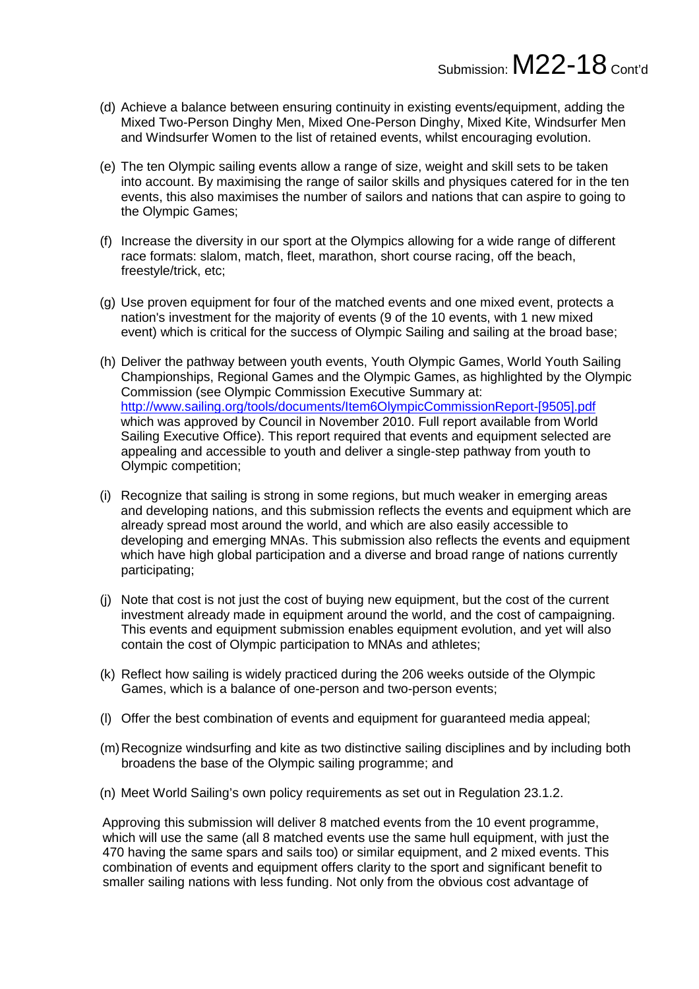- (d) Achieve a balance between ensuring continuity in existing events/equipment, adding the Mixed Two-Person Dinghy Men, Mixed One-Person Dinghy, Mixed Kite, Windsurfer Men and Windsurfer Women to the list of retained events, whilst encouraging evolution.
- (e) The ten Olympic sailing events allow a range of size, weight and skill sets to be taken into account. By maximising the range of sailor skills and physiques catered for in the ten events, this also maximises the number of sailors and nations that can aspire to going to the Olympic Games;
- (f) Increase the diversity in our sport at the Olympics allowing for a wide range of different race formats: slalom, match, fleet, marathon, short course racing, off the beach, freestyle/trick, etc;
- (g) Use proven equipment for four of the matched events and one mixed event, protects a nation's investment for the majority of events (9 of the 10 events, with 1 new mixed event) which is critical for the success of Olympic Sailing and sailing at the broad base;
- (h) Deliver the pathway between youth events, Youth Olympic Games, World Youth Sailing Championships, Regional Games and the Olympic Games, as highlighted by the Olympic Commission (see Olympic Commission Executive Summary at: [http://www.sailing.org/tools/documents/Item6OlympicCommissionReport-\[9505\].pdf](http://www.sailing.org/tools/documents/Item6OlympicCommissionReport-%255B9505%255D.pdf) which was approved by Council in November 2010. Full report available from World Sailing Executive Office). This report required that events and equipment selected are appealing and accessible to youth and deliver a single-step pathway from youth to Olympic competition;
- (i) Recognize that sailing is strong in some regions, but much weaker in emerging areas and developing nations, and this submission reflects the events and equipment which are already spread most around the world, and which are also easily accessible to developing and emerging MNAs. This submission also reflects the events and equipment which have high global participation and a diverse and broad range of nations currently participating;
- (j) Note that cost is not just the cost of buying new equipment, but the cost of the current investment already made in equipment around the world, and the cost of campaigning. This events and equipment submission enables equipment evolution, and yet will also contain the cost of Olympic participation to MNAs and athletes;
- (k) Reflect how sailing is widely practiced during the 206 weeks outside of the Olympic Games, which is a balance of one-person and two-person events;
- (l) Offer the best combination of events and equipment for guaranteed media appeal;
- (m)Recognize windsurfing and kite as two distinctive sailing disciplines and by including both broadens the base of the Olympic sailing programme; and
- (n) Meet World Sailing's own policy requirements as set out in Regulation 23.1.2.

Approving this submission will deliver 8 matched events from the 10 event programme, which will use the same (all 8 matched events use the same hull equipment, with just the 470 having the same spars and sails too) or similar equipment, and 2 mixed events. This combination of events and equipment offers clarity to the sport and significant benefit to smaller sailing nations with less funding. Not only from the obvious cost advantage of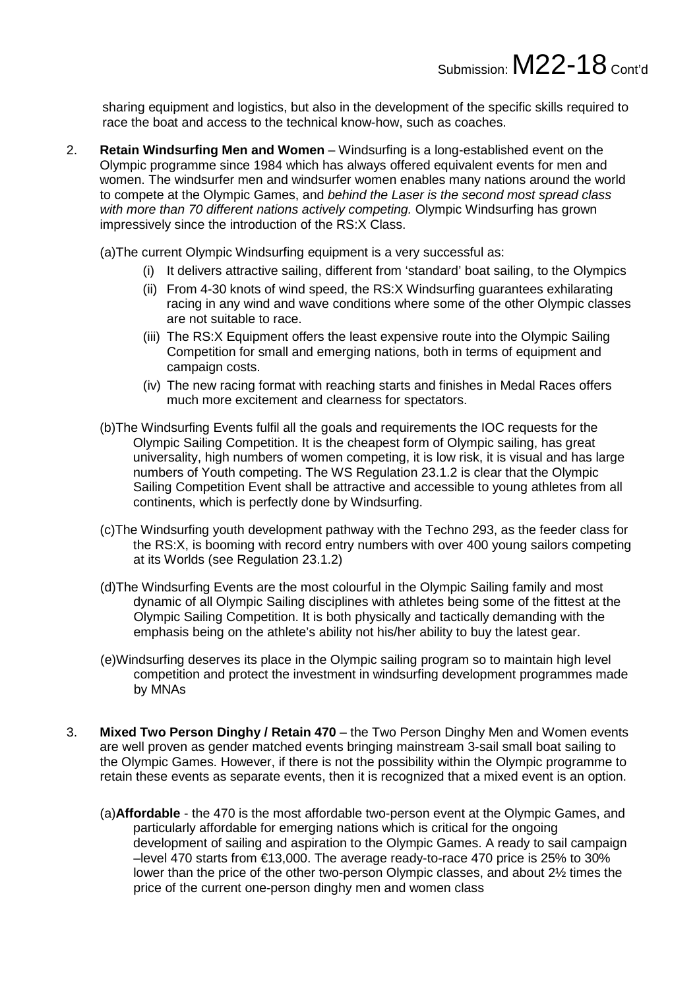sharing equipment and logistics, but also in the development of the specific skills required to race the boat and access to the technical know-how, such as coaches.

- 2. **Retain Windsurfing Men and Women** Windsurfing is a long-established event on the Olympic programme since 1984 which has always offered equivalent events for men and women. The windsurfer men and windsurfer women enables many nations around the world to compete at the Olympic Games, and *behind the Laser is the second most spread class with more than 70 different nations actively competing.* Olympic Windsurfing has grown impressively since the introduction of the RS:X Class.
	- (a)The current Olympic Windsurfing equipment is a very successful as:
		- (i) It delivers attractive sailing, different from 'standard' boat sailing, to the Olympics
		- (ii) From 4-30 knots of wind speed, the RS:X Windsurfing guarantees exhilarating racing in any wind and wave conditions where some of the other Olympic classes are not suitable to race.
		- (iii) The RS:X Equipment offers the least expensive route into the Olympic Sailing Competition for small and emerging nations, both in terms of equipment and campaign costs.
		- (iv) The new racing format with reaching starts and finishes in Medal Races offers much more excitement and clearness for spectators.
	- (b)The Windsurfing Events fulfil all the goals and requirements the IOC requests for the Olympic Sailing Competition. It is the cheapest form of Olympic sailing, has great universality, high numbers of women competing, it is low risk, it is visual and has large numbers of Youth competing. The WS Regulation 23.1.2 is clear that the Olympic Sailing Competition Event shall be attractive and accessible to young athletes from all continents, which is perfectly done by Windsurfing.
	- (c)The Windsurfing youth development pathway with the Techno 293, as the feeder class for the RS:X, is booming with record entry numbers with over 400 young sailors competing at its Worlds (see Regulation 23.1.2)
	- (d)The Windsurfing Events are the most colourful in the Olympic Sailing family and most dynamic of all Olympic Sailing disciplines with athletes being some of the fittest at the Olympic Sailing Competition. It is both physically and tactically demanding with the emphasis being on the athlete's ability not his/her ability to buy the latest gear.
	- (e)Windsurfing deserves its place in the Olympic sailing program so to maintain high level competition and protect the investment in windsurfing development programmes made by MNAs
- 3. **Mixed Two Person Dinghy / Retain 470** the Two Person Dinghy Men and Women events are well proven as gender matched events bringing mainstream 3-sail small boat sailing to the Olympic Games. However, if there is not the possibility within the Olympic programme to retain these events as separate events, then it is recognized that a mixed event is an option.
	- (a)**Affordable** the 470 is the most affordable two-person event at the Olympic Games, and particularly affordable for emerging nations which is critical for the ongoing development of sailing and aspiration to the Olympic Games. A ready to sail campaign –level 470 starts from €13,000. The average ready-to-race 470 price is 25% to 30% lower than the price of the other two-person Olympic classes, and about 2½ times the price of the current one-person dinghy men and women class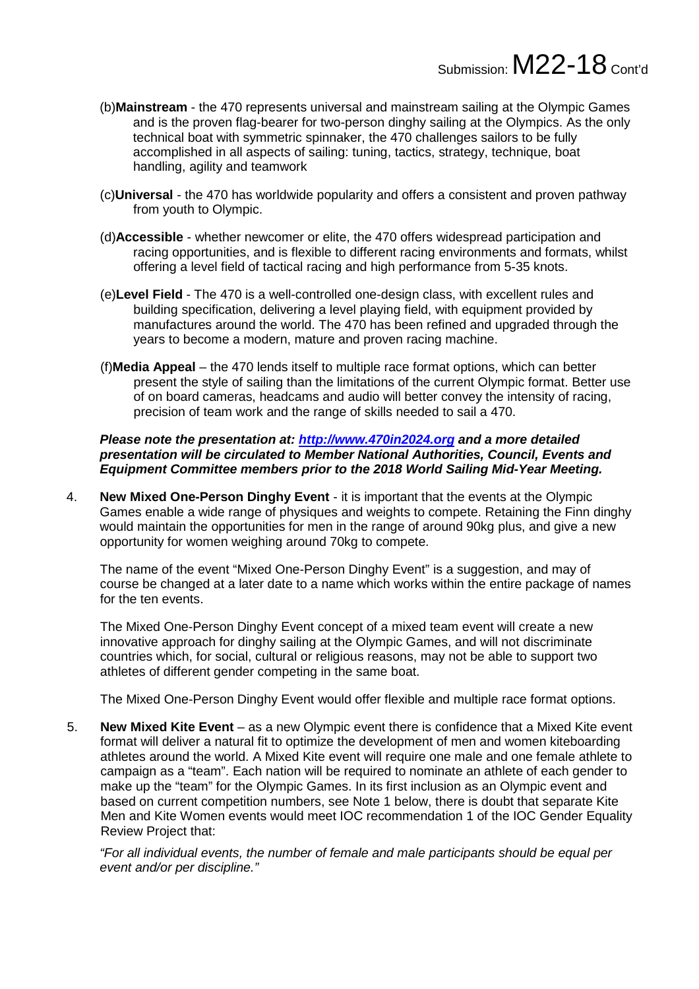- (b)**Mainstream** the 470 represents universal and mainstream sailing at the Olympic Games and is the proven flag-bearer for two-person dinghy sailing at the Olympics. As the only technical boat with symmetric spinnaker, the 470 challenges sailors to be fully accomplished in all aspects of sailing: tuning, tactics, strategy, technique, boat handling, agility and teamwork
- (c)**Universal** the 470 has worldwide popularity and offers a consistent and proven pathway from youth to Olympic.
- (d)**Accessible** whether newcomer or elite, the 470 offers widespread participation and racing opportunities, and is flexible to different racing environments and formats, whilst offering a level field of tactical racing and high performance from 5-35 knots.
- (e)**Level Field** The 470 is a well-controlled one-design class, with excellent rules and building specification, delivering a level playing field, with equipment provided by manufactures around the world. The 470 has been refined and upgraded through the years to become a modern, mature and proven racing machine.
- (f)**Media Appeal** the 470 lends itself to multiple race format options, which can better present the style of sailing than the limitations of the current Olympic format. Better use of on board cameras, headcams and audio will better convey the intensity of racing, precision of team work and the range of skills needed to sail a 470.

*Please note the presentation at: [http://www.470in2024.org](http://www.470in2024.org/) and a more detailed presentation will be circulated to Member National Authorities, Council, Events and Equipment Committee members prior to the 2018 World Sailing Mid-Year Meeting.*

4. **New Mixed One-Person Dinghy Event** - it is important that the events at the Olympic Games enable a wide range of physiques and weights to compete. Retaining the Finn dinghy would maintain the opportunities for men in the range of around 90kg plus, and give a new opportunity for women weighing around 70kg to compete.

The name of the event "Mixed One-Person Dinghy Event" is a suggestion, and may of course be changed at a later date to a name which works within the entire package of names for the ten events.

The Mixed One-Person Dinghy Event concept of a mixed team event will create a new innovative approach for dinghy sailing at the Olympic Games, and will not discriminate countries which, for social, cultural or religious reasons, may not be able to support two athletes of different gender competing in the same boat.

The Mixed One-Person Dinghy Event would offer flexible and multiple race format options.

5. **New Mixed Kite Event** – as a new Olympic event there is confidence that a Mixed Kite event format will deliver a natural fit to optimize the development of men and women kiteboarding athletes around the world. A Mixed Kite event will require one male and one female athlete to campaign as a "team". Each nation will be required to nominate an athlete of each gender to make up the "team" for the Olympic Games. In its first inclusion as an Olympic event and based on current competition numbers, see Note 1 below, there is doubt that separate Kite Men and Kite Women events would meet IOC recommendation 1 of the IOC Gender Equality Review Project that:

*"For all individual events, the number of female and male participants should be equal per event and/or per discipline."*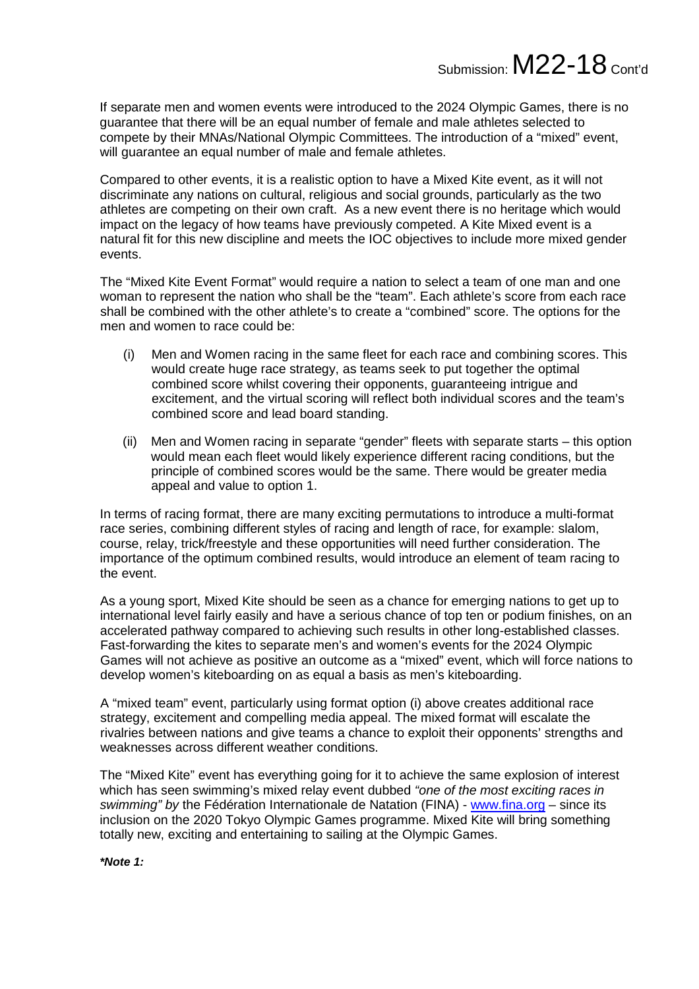## Submission: M22-18 Cont'd

If separate men and women events were introduced to the 2024 Olympic Games, there is no guarantee that there will be an equal number of female and male athletes selected to compete by their MNAs/National Olympic Committees. The introduction of a "mixed" event, will guarantee an equal number of male and female athletes.

Compared to other events, it is a realistic option to have a Mixed Kite event, as it will not discriminate any nations on cultural, religious and social grounds, particularly as the two athletes are competing on their own craft. As a new event there is no heritage which would impact on the legacy of how teams have previously competed. A Kite Mixed event is a natural fit for this new discipline and meets the IOC objectives to include more mixed gender events.

The "Mixed Kite Event Format" would require a nation to select a team of one man and one woman to represent the nation who shall be the "team". Each athlete's score from each race shall be combined with the other athlete's to create a "combined" score. The options for the men and women to race could be:

- (i) Men and Women racing in the same fleet for each race and combining scores. This would create huge race strategy, as teams seek to put together the optimal combined score whilst covering their opponents, guaranteeing intrigue and excitement, and the virtual scoring will reflect both individual scores and the team's combined score and lead board standing.
- (ii) Men and Women racing in separate "gender" fleets with separate starts this option would mean each fleet would likely experience different racing conditions, but the principle of combined scores would be the same. There would be greater media appeal and value to option 1.

In terms of racing format, there are many exciting permutations to introduce a multi-format race series, combining different styles of racing and length of race, for example: slalom, course, relay, trick/freestyle and these opportunities will need further consideration. The importance of the optimum combined results, would introduce an element of team racing to the event.

As a young sport, Mixed Kite should be seen as a chance for emerging nations to get up to international level fairly easily and have a serious chance of top ten or podium finishes, on an accelerated pathway compared to achieving such results in other long-established classes. Fast-forwarding the kites to separate men's and women's events for the 2024 Olympic Games will not achieve as positive an outcome as a "mixed" event, which will force nations to develop women's kiteboarding on as equal a basis as men's kiteboarding.

A "mixed team" event, particularly using format option (i) above creates additional race strategy, excitement and compelling media appeal. The mixed format will escalate the rivalries between nations and give teams a chance to exploit their opponents' strengths and weaknesses across different weather conditions.

The "Mixed Kite" event has everything going for it to achieve the same explosion of interest which has seen swimming's mixed relay event dubbed *"one of the most exciting races in swimming" by* the Fédération Internationale de Natation (FINA) - [www.fina.org](http://www.fina.org/) – since its inclusion on the 2020 Tokyo Olympic Games programme. Mixed Kite will bring something totally new, exciting and entertaining to sailing at the Olympic Games.

*\*Note 1:*